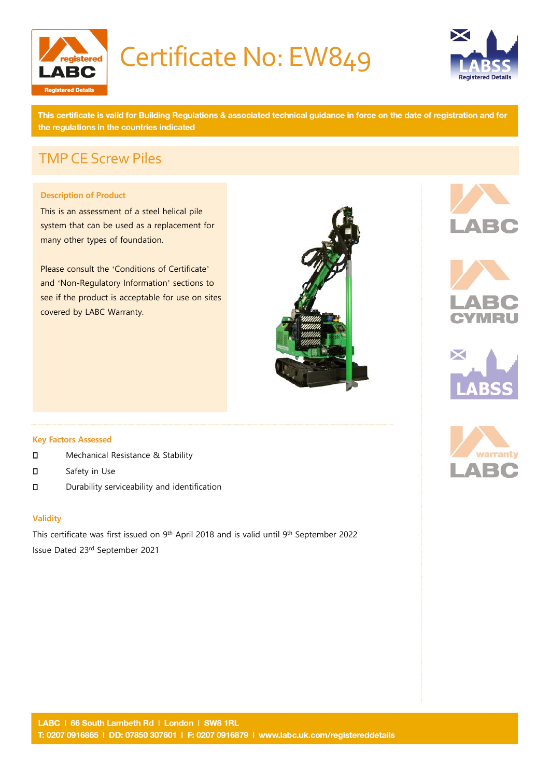

# Certificate No: EW849



This certificate is valid for Building Regulations & associated technical guidance in force on the date of registration and for the regulations in the countries indicated

## TMPCE Screw Piles

## **Description of Product**

This is an assessment of a steel helical pile system that can be used as a replacement for many other types of foundation.

Please consult the 'Conditions of Certificate' and 'Non-Regulatory Information' sections to see if the product is acceptable for use on sites covered by LABC Warranty.











- **D** Mechanical Resistance & Stability
- D<sub>Safety</sub> in Use
- Durability serviceability and identification

#### **Validity**

This certificate was first issued on 9<sup>th</sup> April 2018 and is valid until 9<sup>th</sup> September 2022 Issue Dated 23rd September 2021

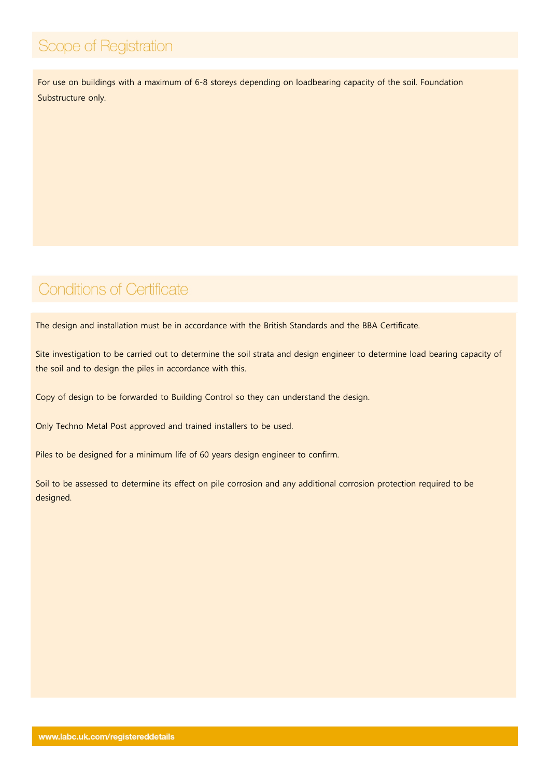# Scope of Registration

For use on buildings with a maximum of 6-8 storeys depending on loadbearing capacity of the soil. Foundation Substructure only.

## **Conditions of Certificate**

The design and installation must be in accordance with the British Standards and the BBA Certificate.

Site investigation to be carried out to determine the soil strata and design engineer to determine load bearing capacity of the soil and to design the piles in accordance with this.

Copy of design to be forwarded to Building Control so they can understand the design.

Only Techno Metal Post approved and trained installers to be used.

Piles to be designed for a minimum life of 60 years design engineer to confirm.

Soil to be assessed to determine its effect on pile corrosion and any additional corrosion protection required to be designed.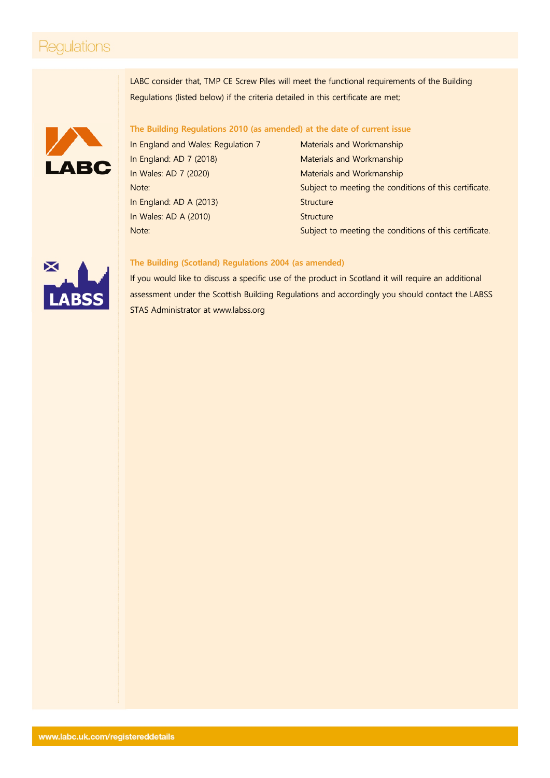## **Regulations**

LABC consider that, TMP CE Screw Piles will meet the functional requirements of the Building Regulations (listed below) if the criteria detailed in this certificate are met;



## **The Building Regulations 2010 (as amended) at the date of current issue**

In England: AD A (2013) Structure In Wales: AD A (2010) Structure

In England and Wales: Regulation 7 Materials and Workmanship In England: AD 7 (2018) Materials and Workmanship In Wales: AD 7 (2020) Materials and Workmanship Note: Subject to meeting the conditions of this certificate. Note: Subject to meeting the conditions of this certificate.



#### **The Building (Scotland) Regulations 2004 (as amended)**

If you would like to discuss a specific use of the product in Scotland it will require an additional assessment under the Scottish Building Regulations and accordingly you should contact the LABSS STAS Administrator at [www.labss.org](http://www.labss.org/)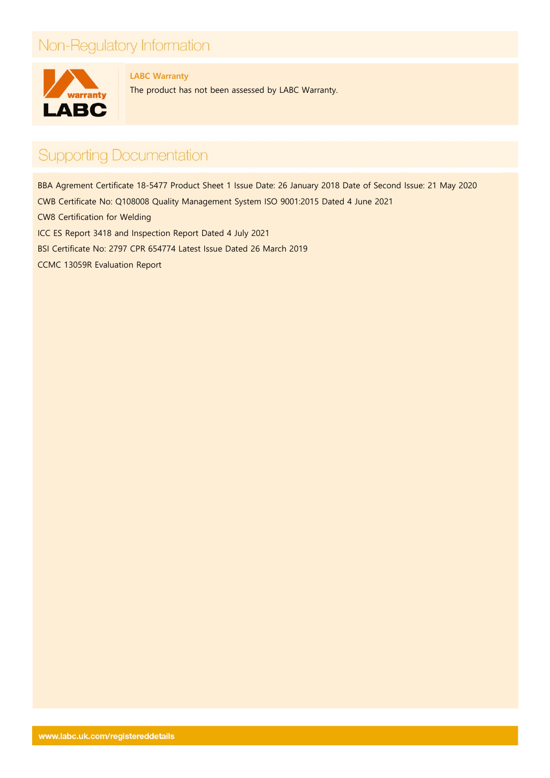# Non-Regulatory Information



**LABC Warranty**

The product has not been assessed by LABC Warranty.

# **Supporting Documentation**

BBA Agrement Certificate 18-5477 Product Sheet 1 Issue Date: 26 January 2018 Date of Second Issue: 21 May 2020 CWB Certificate No: Q108008 Quality Management System ISO 9001:2015 Dated 4 June 2021 CW8 Certification for Welding ICC ES Report 3418 and Inspection Report Dated 4 July 2021 BSI Certificate No: 2797 CPR 654774 Latest Issue Dated 26 March 2019 CCMC 13059R Evaluation Report